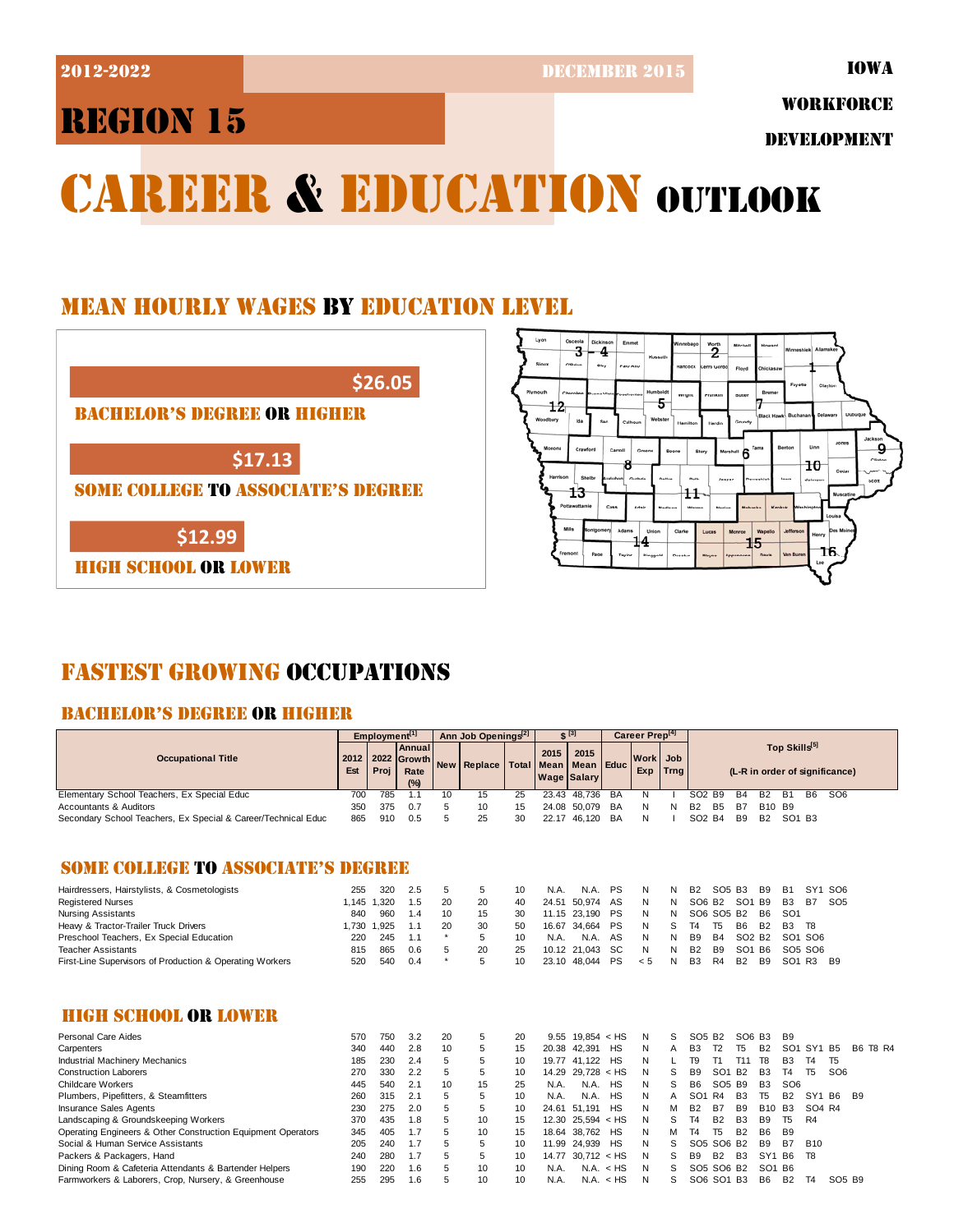2012-2022 DECEMBER 2015

IOWA

# REGION 15

WORKFORCE

DEVELOPMENT

 $10$ 

16

# CAREER & EDUCATION OUTLOOK

## MEAN HOURLY WAGES BY EDUCATION LEVEL



## FASTEST GROWING OCCUPATIONS

## BACHELOR'S DEGREE OR HIGHER

|                                                               | Employment <sup>[1]</sup> |              | Ann Job Openings <sup>[2]</sup>        |         |             | $S^{[3]}$    |              | Career Prep <sup>[4]</sup>         |           |                    |                    |                                |                                                 |                                |                 |                                |                                 |                                |                |
|---------------------------------------------------------------|---------------------------|--------------|----------------------------------------|---------|-------------|--------------|--------------|------------------------------------|-----------|--------------------|--------------------|--------------------------------|-------------------------------------------------|--------------------------------|-----------------|--------------------------------|---------------------------------|--------------------------------|----------------|
| <b>Occupational Title</b>                                     |                           | 2022<br>Proj | Annual<br><b>Growth</b><br>Rate<br>(%) |         | New Replace | <b>Total</b> | 2015<br>Mean | 2015<br>Mean<br><b>Wage Salary</b> | Educ      | <b>Work</b><br>Exp | Job<br><b>Trng</b> |                                | Top Skills[5]<br>(L-R in order of significance) |                                |                 |                                |                                 |                                |                |
| Elementary School Teachers, Ex Special Educ                   | 700                       | 785          | 1.1                                    | 10      | 15          | 25           | 23.43        | 48.736                             | <b>BA</b> | N                  |                    | SO <sub>2</sub> B <sub>9</sub> |                                                 | <b>B4</b>                      | B <sub>2</sub>  | B <sub>1</sub>                 | B <sub>6</sub>                  | SO <sub>6</sub>                |                |
| <b>Accountants &amp; Auditors</b>                             | 350                       | 375          | 0.7                                    | 5       | 10          | 15           |              | 24.08 50.079                       | BA        | N                  | N                  | <b>B2</b>                      | <b>B5</b>                                       | <b>B7</b>                      | <b>B10</b>      | <b>B9</b>                      |                                 |                                |                |
| Secondary School Teachers, Ex Special & Career/Technical Educ | 865                       | 910          | 0.5                                    | 5       | 25          | 30           |              | 22.17 46,120                       | BA        | N                  |                    | SO <sub>2</sub> B <sub>4</sub> |                                                 | B <sub>9</sub>                 | <b>B2</b>       | SO <sub>1</sub> B <sub>3</sub> |                                 |                                |                |
| <b>SOME COLLEGE TO ASSOCIATE'S DEGREE</b>                     |                           |              |                                        |         |             |              |              |                                    |           |                    |                    |                                |                                                 |                                |                 |                                |                                 |                                |                |
| Hairdressers, Hairstylists, & Cosmetologists                  | 255                       | 320          | 2.5                                    | 5       | 5           | 10           | N.A.         | N.A.                               | <b>PS</b> | N                  | N                  | <b>B2</b>                      | SO <sub>5</sub> B <sub>3</sub>                  |                                | <b>B9</b>       | <b>B1</b>                      |                                 | SY1 SO6                        |                |
| <b>Registered Nurses</b>                                      | 1.145                     | 1.320        | 1.5                                    | 20      | 20          | 40           | 24.51        | 50.974                             | AS        | N                  | N                  |                                | SO6 B <sub>2</sub>                              | SO <sub>1</sub> B <sub>9</sub> |                 | B <sub>3</sub>                 | <b>B7</b>                       | SO <sub>5</sub>                |                |
| <b>Nursing Assistants</b>                                     | 840                       | 960          | 1.4                                    | 10      | 15          | 30           |              | 11.15 23,190                       | <b>PS</b> | N                  | N                  |                                | SO6 SO5 B2                                      |                                | <b>B6</b>       | SO <sub>1</sub>                |                                 |                                |                |
| Heavy & Tractor-Trailer Truck Drivers                         | 1,730                     | 1,925        | 1.1                                    | 20      | 30          | 50           | 16.67        | 34,664                             | <b>PS</b> | N                  | S                  | T <sub>4</sub>                 | T <sub>5</sub>                                  | B <sub>6</sub>                 | <b>B2</b>       | <b>B3</b>                      | T <sub>8</sub>                  |                                |                |
| Preschool Teachers, Ex Special Education                      | 220                       | 245          | 1.1                                    | $\star$ | 5           | 10           | N.A.         | N.A.                               | AS        | N                  | N                  | <b>B9</b>                      | <b>B4</b>                                       | SO <sub>2</sub> B <sub>2</sub> |                 |                                | SO <sub>1</sub> SO <sub>6</sub> |                                |                |
| Teacher Assistants                                            | 815                       | 865          | 0.6                                    | 5       | 20          | 25           |              | 10.12 21,043                       | <b>SC</b> | N                  | N                  | <b>B2</b>                      | B <sub>9</sub>                                  | SO <sub>1</sub>                | B <sub>6</sub>  |                                | SO <sub>5</sub> SO <sub>6</sub> |                                |                |
| First-Line Supervisors of Production & Operating Workers      | 520                       | 540          | 0.4                                    | $\star$ | 5           | 10           | 23.10        | 48,044                             | PS        | < 5                | N                  | <b>B3</b>                      | R4                                              | <b>B2</b>                      | B <sub>9</sub>  | SO1 R3                         |                                 | <b>B</b> 9                     |                |
| <b>HIGH SCHOOL OR LOWER</b>                                   |                           |              |                                        |         |             |              |              |                                    |           |                    |                    |                                |                                                 |                                |                 |                                |                                 |                                |                |
| <b>Personal Care Aides</b>                                    | 570                       | 750          | 3.2                                    | 20      | 5           | 20           | 9.55         | $19.854 <$ HS                      |           | N                  | S                  |                                | SO <sub>5</sub> B <sub>2</sub>                  | SO <sub>6</sub>                | B <sub>3</sub>  | <b>B</b> 9                     |                                 |                                |                |
| Carpenters                                                    | 340                       | 440          | 2.8                                    | 10      | 5           | 15           |              | 20.38 42,391                       | HS        | N                  | Α                  | B <sub>3</sub>                 | T <sub>2</sub>                                  | T <sub>5</sub>                 | <b>B2</b>       | SO1                            | SY <sub>1</sub>                 | B <sub>5</sub>                 | B6 T8 R4       |
| <b>Industrial Machinery Mechanics</b>                         | 185                       | 230          | 2.4                                    | 5       | 5           | 10           |              | 19.77 41,122                       | HS        | N                  | L                  | T <sub>9</sub>                 | T1                                              | T11                            | T <sub>8</sub>  | B <sub>3</sub>                 | T <sub>4</sub>                  | T <sub>5</sub>                 |                |
| <b>Construction Laborers</b>                                  | 270                       | 330          | 2.2                                    | 5       | 5           | 10           |              | 14.29 29,728                       | ≺ HS      | N                  | S                  | B <sub>9</sub>                 | SO <sub>1</sub>                                 | <b>B2</b>                      | B <sub>3</sub>  | T <sub>4</sub>                 | T <sub>5</sub>                  | SO <sub>6</sub>                |                |
| <b>Childcare Workers</b>                                      | 445                       | 540          | 2.1                                    | 10      | 15          | 25           | N.A.         | N.A.                               | <b>HS</b> | N                  | S                  | <b>B6</b>                      | SO <sub>5</sub> B <sub>9</sub>                  |                                | B <sub>3</sub>  | SO <sub>6</sub>                |                                 |                                |                |
| Plumbers, Pipefitters, & Steamfitters                         | 260                       | 315          | 2.1                                    | 5       | 5           | 10           | N.A.         | N.A.                               | HS        | N                  | Α                  | SO <sub>1</sub>                | R4                                              | B <sub>3</sub>                 | T <sub>5</sub>  | <b>B2</b>                      | SY <sub>1</sub>                 | <b>B6</b>                      | B <sub>9</sub> |
| <b>Insurance Sales Agents</b>                                 | 230                       | 275          | 2.0                                    | 5       | 5           | 10           | 24.61        | 51.191                             | HS        | N                  | M                  | <b>B2</b>                      | <b>B7</b>                                       | B <sub>9</sub>                 | <b>B10</b>      | B <sub>3</sub>                 | SO4 R4                          |                                |                |
| Landscaping & Groundskeeping Workers                          | 370                       | 435          | 1.8                                    | 5       | 10          | 15           | 12.30        | 25.594 < HS                        |           | N                  | S                  | T <sub>4</sub>                 | <b>B2</b>                                       | B <sub>3</sub>                 | B <sub>9</sub>  | T <sub>5</sub>                 | R4                              |                                |                |
| Operating Engineers & Other Construction Equipment Operators  | 345                       | 405          | 1.7                                    | 5       | 10          | 15           | 18.64        | 38,762                             | <b>HS</b> | N                  | M                  | T <sub>4</sub>                 | T <sub>5</sub>                                  | <b>B2</b>                      | <b>B6</b>       | <b>B9</b>                      |                                 |                                |                |
| Social & Human Service Assistants                             | 205                       | 240          | 1.7                                    | 5       | 5           | 10           | 11.99        | 24,939                             | <b>HS</b> | N                  | S                  |                                | SO5 SO6 B2                                      |                                | <b>B9</b>       | <b>B7</b>                      | <b>B10</b>                      |                                |                |
| Packers & Packagers, Hand                                     | 240                       | 280          | 1.7                                    | 5       | 5           | 10           | 14.77        | $30.712 <$ HS                      |           | N                  | S                  | <b>B9</b>                      | <b>B2</b>                                       | B <sub>3</sub>                 | SY <sub>1</sub> | B <sub>6</sub>                 | T <sub>8</sub>                  |                                |                |
| Dining Room & Cafeteria Attendants & Bartender Helpers        | 190                       | 220          | 1.6                                    | 5       | 10          | 10           | N.A.         |                                    | N.A. < HS | N                  | S                  |                                | SO5 SO6 B2                                      |                                | SO <sub>1</sub> | <b>B6</b>                      |                                 |                                |                |
| Farmworkers & Laborers, Crop, Nursery, & Greenhouse           | 255                       | 295          | 1.6                                    | 5       | 10          | 10           | N.A.         |                                    | N.A. < HS | N                  | S                  |                                | SO6 SO1 B3                                      |                                | B <sub>6</sub>  | <b>B2</b>                      | T <sub>4</sub>                  | SO <sub>5</sub> B <sub>9</sub> |                |